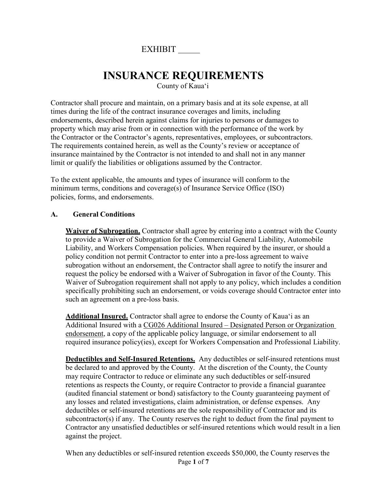## EXHIBIT

# **INSURANCE REQUIREMENTS**

County of Kaua'i

Contractor shall procure and maintain, on a primary basis and at its sole expense, at all times during the life of the contract insurance coverages and limits, including endorsements, described herein against claims for injuries to persons or damages to property which may arise from or in connection with the performance of the work by the Contractor or the Contractor's agents, representatives, employees, or subcontractors. The requirements contained herein, as well as the County's review or acceptance of insurance maintained by the Contractor is not intended to and shall not in any manner limit or qualify the liabilities or obligations assumed by the Contractor.

To the extent applicable, the amounts and types of insurance will conform to the minimum terms, conditions and coverage(s) of Insurance Service Office (ISO) policies, forms, and endorsements.

#### **A. General Conditions**

**Waiver of Subrogation.** Contractor shall agree by entering into a contract with the County to provide a Waiver of Subrogation for the Commercial General Liability, Automobile Liability, and Workers Compensation policies. When required by the insurer, or should a policy condition not permit Contractor to enter into a pre-loss agreement to waive subrogation without an endorsement, the Contractor shall agree to notify the insurer and request the policy be endorsed with a Waiver of Subrogation in favor of the County. This Waiver of Subrogation requirement shall not apply to any policy, which includes a condition specifically prohibiting such an endorsement, or voids coverage should Contractor enter into such an agreement on a pre-loss basis.

**Additional Insured.** Contractor shall agree to endorse the County of Kaua'i as an Additional Insured with a CG026 Additional Insured – Designated Person or Organization endorsement, a copy of the applicable policy language, or similar endorsement to all required insurance policy(ies), except for Workers Compensation and Professional Liability.

**Deductibles and Self-Insured Retentions.** Any deductibles or self-insured retentions must be declared to and approved by the County. At the discretion of the County, the County may require Contractor to reduce or eliminate any such deductibles or self-insured retentions as respects the County, or require Contractor to provide a financial guarantee (audited financial statement or bond) satisfactory to the County guaranteeing payment of any losses and related investigations, claim administration, or defense expenses. Any deductibles or self-insured retentions are the sole responsibility of Contractor and its subcontractor(s) if any. The County reserves the right to deduct from the final payment to Contractor any unsatisfied deductibles or self-insured retentions which would result in a lien against the project.

Page **1** of **7** When any deductibles or self-insured retention exceeds \$50,000, the County reserves the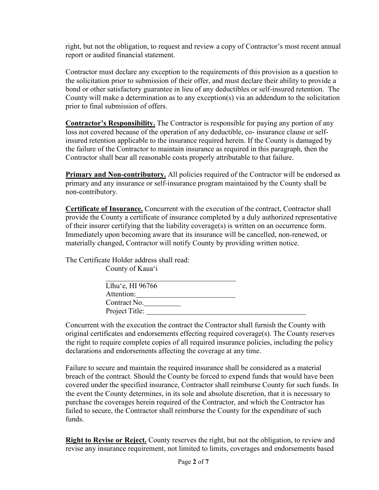right, but not the obligation, to request and review a copy of Contractor's most recent annual report or audited financial statement.

Contractor must declare any exception to the requirements of this provision as a question to the solicitation prior to submission of their offer, and must declare their ability to provide a bond or other satisfactory guarantee in lieu of any deductibles or self-insured retention. The County will make a determination as to any exception(s) via an addendum to the solicitation prior to final submission of offers.

**Contractor's Responsibility.** The Contractor is responsible for paying any portion of any loss not covered because of the operation of any deductible, co- insurance clause or selfinsured retention applicable to the insurance required herein. If the County is damaged by the failure of the Contractor to maintain insurance as required in this paragraph, then the Contractor shall bear all reasonable costs properly attributable to that failure.

**Primary and Non-contributory.** All policies required of the Contractor will be endorsed as primary and any insurance or self-insurance program maintained by the County shall be non-contributory.

**Certificate of Insurance.** Concurrent with the execution of the contract, Contractor shall provide the County a certificate of insurance completed by a duly authorized representative of their insurer certifying that the liability coverage(s) is written on an occurrence form. Immediately upon becoming aware that its insurance will be cancelled, non-renewed, or materially changed, Contractor will notify County by providing written notice.

The Certificate Holder address shall read: County of Kaua'i

| Līhu'e, HI 96766 |  |
|------------------|--|
| Attention:       |  |
| Contract No.     |  |
| Project Title:   |  |
|                  |  |

Concurrent with the execution the contract the Contractor shall furnish the County with original certificates and endorsements effecting required coverage(s). The County reserves the right to require complete copies of all required insurance policies, including the policy declarations and endorsements affecting the coverage at any time.

Failure to secure and maintain the required insurance shall be considered as a material breach of the contract. Should the County be forced to expend funds that would have been covered under the specified insurance, Contractor shall reimburse County for such funds. In the event the County determines, in its sole and absolute discretion, that it is necessary to purchase the coverages herein required of the Contractor, and which the Contractor has failed to secure, the Contractor shall reimburse the County for the expenditure of such funds.

**Right to Revise or Reject.** County reserves the right, but not the obligation, to review and revise any insurance requirement, not limited to limits, coverages and endorsements based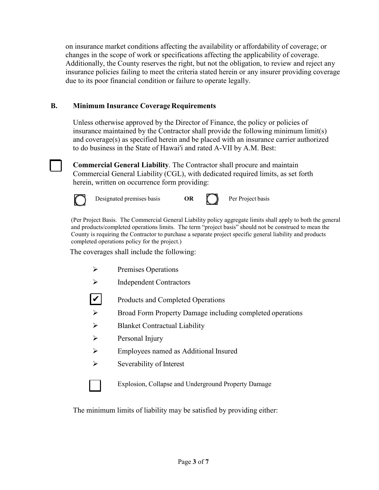on insurance market conditions affecting the availability or affordability of coverage; or changes in the scope of work or specifications affecting the applicability of coverage. Additionally, the County reserves the right, but not the obligation, to review and reject any insurance policies failing to meet the criteria stated herein or any insurer providing coverage due to its poor financial condition or failure to operate legally.

#### **B. Minimum Insurance Coverage Requirements**

Unless otherwise approved by the Director of Finance, the policy or policies of insurance maintained by the Contractor shall provide the following minimum limit(s) and coverage(s) as specified herein and be placed with an insurance carrier authorized to do business in the State of Hawai'i and rated A-VII by A.M. Best:

**Commercial General Liability**. The Contractor shall procure and maintain Commercial General Liability (CGL), with dedicated required limits, as set forth herein, written on occurrence form providing:



Designated premises basis **OR Per Project basis** 

(Per Project Basis. The Commercial General Liability policy aggregate limits shall apply to both the general and products/completed operations limits. The term "project basis" should not be construed to mean the County is requiring the Contractor to purchase a separate project specific general liability and products completed operations policy for the project.)

The coverages shall include the following:

- $\triangleright$  Premises Operations
- $\triangleright$  Independent Contractors

Products and Completed Operations ✔

- Broad Form Property Damage including completed operations
- $\triangleright$  Blanket Contractual Liability
- $\triangleright$  Personal Injury
- Employees named as Additional Insured
- $\triangleright$  Severability of Interest

Explosion, Collapse and Underground Property Damage

The minimum limits of liability may be satisfied by providing either: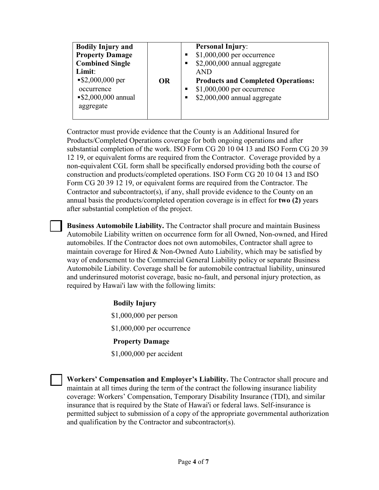| <b>Bodily Injury and</b><br><b>Property Damage</b><br><b>Combined Single</b><br>Limit:<br>$\$2,000,000$ per<br>occurrence<br>$\$2,000,000$ annual<br>aggregate | <b>OR</b> | <b>Personal Injury:</b><br>$$1,000,000$ per occurrence<br>п<br>\$2,000,000 annual aggregate<br>$\blacksquare$<br><b>AND</b><br><b>Products and Completed Operations:</b><br>$$1,000,000$ per occurrence<br>\$2,000,000 annual aggregate<br>▪ |
|----------------------------------------------------------------------------------------------------------------------------------------------------------------|-----------|----------------------------------------------------------------------------------------------------------------------------------------------------------------------------------------------------------------------------------------------|
|----------------------------------------------------------------------------------------------------------------------------------------------------------------|-----------|----------------------------------------------------------------------------------------------------------------------------------------------------------------------------------------------------------------------------------------------|

Contractor must provide evidence that the County is an Additional Insured for Products/Completed Operations coverage for both ongoing operations and after substantial completion of the work. ISO Form CG 20 10 04 13 and ISO Form CG 20 39 12 19, or equivalent forms are required from the Contractor. Coverage provided by a non-equivalent CGL form shall be specifically endorsed providing both the course of construction and products/completed operations. ISO Form CG 20 10 04 13 and ISO Form CG 20 39 12 19, or equivalent forms are required from the Contractor. The Contractor and subcontractor(s), if any, shall provide evidence to the County on an annual basis the products/completed operation coverage is in effect for **two (2)** years after substantial completion of the project.

**Business Automobile Liability.** The Contractor shall procure and maintain Business Automobile Liability written on occurrence form for all Owned, Non-owned, and Hired automobiles. If the Contractor does not own automobiles, Contractor shall agree to maintain coverage for Hired & Non-Owned Auto Liability, which may be satisfied by way of endorsement to the Commercial General Liability policy or separate Business Automobile Liability. Coverage shall be for automobile contractual liability, uninsured and underinsured motorist coverage, basic no-fault, and personal injury protection, as required by Hawai'i law with the following limits:

**Bodily Injury**

\$1,000,000 per person

\$1,000,000 per occurrence

### **Property Damage**

\$1,000,000 per accident

**Workers' Compensation and Employer's Liability.** The Contractor shall procure and maintain at all times during the term of the contract the following insurance liability coverage: Workers' Compensation, Temporary Disability Insurance (TDI), and similar insurance that is required by the State of Hawai'i or federal laws. Self-insurance is permitted subject to submission of a copy of the appropriate governmental authorization and qualification by the Contractor and subcontractor(s).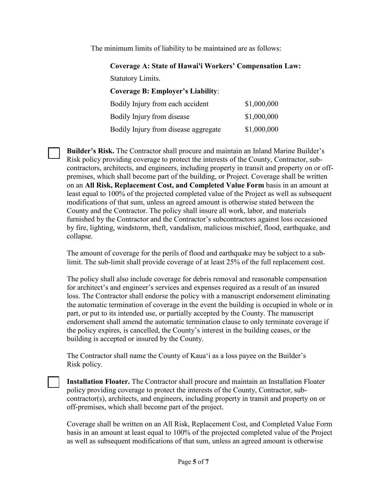The minimum limits of liability to be maintained are as follows:

**Coverage A: State of Hawai'i Workers' Compensation Law:** 

Statutory Limits.

**Coverage B: Employer's Liability**:

| Bodily Injury from each accident     | \$1,000,000 |
|--------------------------------------|-------------|
| Bodily Injury from disease           | \$1,000,000 |
| Bodily Injury from disease aggregate | \$1,000,000 |

**Builder's Risk.** The Contractor shall procure and maintain an Inland Marine Builder's Risk policy providing coverage to protect the interests of the County, Contractor, subcontractors, architects, and engineers, including property in transit and property on or offpremises, which shall become part of the building, or Project. Coverage shall be written on an **All Risk, Replacement Cost, and Completed Value Form** basis in an amount at least equal to 100% of the projected completed value of the Project as well as subsequent modifications of that sum, unless an agreed amount is otherwise stated between the County and the Contractor. The policy shall insure all work, labor, and materials furnished by the Contractor and the Contractor's subcontractors against loss occasioned by fire, lighting, windstorm, theft, vandalism, malicious mischief, flood, earthquake, and collapse.

The amount of coverage for the perils of flood and earthquake may be subject to a sublimit. The sub-limit shall provide coverage of at least 25% of the full replacement cost.

The policy shall also include coverage for debris removal and reasonable compensation for architect's and engineer's services and expenses required as a result of an insured loss. The Contractor shall endorse the policy with a manuscript endorsement eliminating the automatic termination of coverage in the event the building is occupied in whole or in part, or put to its intended use, or partially accepted by the County. The manuscript endorsement shall amend the automatic termination clause to only terminate coverage if the policy expires, is cancelled, the County's interest in the building ceases, or the building is accepted or insured by the County.

The Contractor shall name the County of Kaua'i as a loss payee on the Builder's Risk policy.

**Installation Floater.** The Contractor shall procure and maintain an Installation Floater policy providing coverage to protect the interests of the County, Contractor, subcontractor(s), architects, and engineers, including property in transit and property on or off-premises, which shall become part of the project.

Coverage shall be written on an All Risk, Replacement Cost, and Completed Value Form basis in an amount at least equal to 100% of the projected completed value of the Project as well as subsequent modifications of that sum, unless an agreed amount is otherwise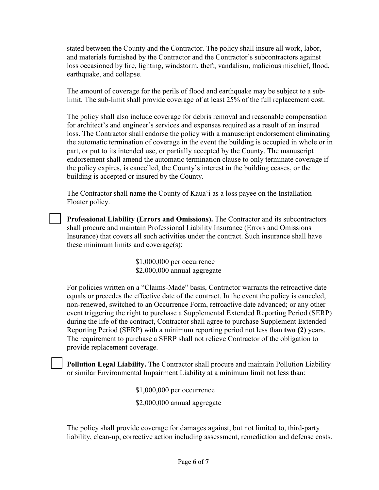stated between the County and the Contractor. The policy shall insure all work, labor, and materials furnished by the Contractor and the Contractor's subcontractors against loss occasioned by fire, lighting, windstorm, theft, vandalism, malicious mischief, flood, earthquake, and collapse.

The amount of coverage for the perils of flood and earthquake may be subject to a sublimit. The sub-limit shall provide coverage of at least 25% of the full replacement cost.

The policy shall also include coverage for debris removal and reasonable compensation for architect's and engineer's services and expenses required as a result of an insured loss. The Contractor shall endorse the policy with a manuscript endorsement eliminating the automatic termination of coverage in the event the building is occupied in whole or in part, or put to its intended use, or partially accepted by the County. The manuscript endorsement shall amend the automatic termination clause to only terminate coverage if the policy expires, is cancelled, the County's interest in the building ceases, or the building is accepted or insured by the County.

The Contractor shall name the County of Kaua'i as a loss payee on the Installation Floater policy.

**Professional Liability (Errors and Omissions).** The Contractor and its subcontractors shall procure and maintain Professional Liability Insurance (Errors and Omissions Insurance) that covers all such activities under the contract. Such insurance shall have these minimum limits and coverage(s):

> \$1,000,000 per occurrence \$2,000,000 annual aggregate

For policies written on a "Claims-Made" basis, Contractor warrants the retroactive date equals or precedes the effective date of the contract. In the event the policy is canceled, non-renewed, switched to an Occurrence Form, retroactive date advanced; or any other event triggering the right to purchase a Supplemental Extended Reporting Period (SERP) during the life of the contract, Contractor shall agree to purchase Supplement Extended Reporting Period (SERP) with a minimum reporting period not less than **two (2)** years. The requirement to purchase a SERP shall not relieve Contractor of the obligation to provide replacement coverage.

**Pollution Legal Liability.** The Contractor shall procure and maintain Pollution Liability or similar Environmental Impairment Liability at a minimum limit not less than:

> \$1,000,000 per occurrence \$2,000,000 annual aggregate

The policy shall provide coverage for damages against, but not limited to, third-party liability, clean-up, corrective action including assessment, remediation and defense costs.